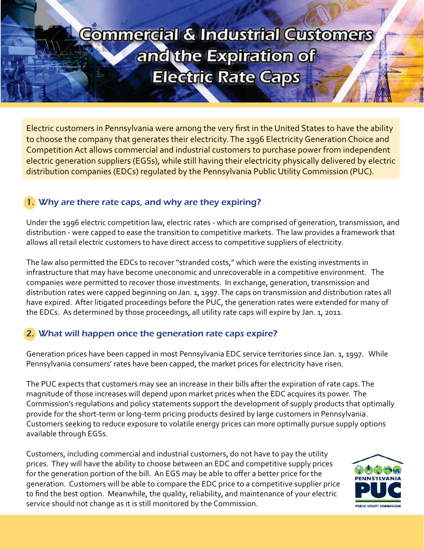# **Commercial & Industrial Customers** and the Expiration of **Electric Rate Caps**

Electric customers in Pennsylvania were among the very first in the United States to have the ability to choose the company that generates their electricity. The 1996 Electricity Generation Choice and Competition Act allows commercial and industrial customers to purchase power from independent electric generation suppliers (EGSs), while still having their electricity physically delivered by electric distribution companies (EDCs) regulated by the Pennsylvania Public Utility Commission (PUC).

## 1. Why are there rate caps, and why are they expiring?

Under the 1996 electric competition law, electric rates - which are comprised of generation, transmission, and distribution - were capped to ease the transition to competitive markets. The law provides a framework that allows all retail electric customers to have direct access to competitive suppliers of electricity.

The law also permitted the EDCs to recover "stranded costs," which were the existing investments in infrastructure that may have become uneconomic and unrecoverable in a competitive environment. The companies were permitted to recover those investments. In exchange, generation, transmission and distribution rates were capped beginning on Jan. 1, 1997. The caps on transmission and distribution rates all have expired. After litigated proceedings before the PUC, the generation rates were extended for many of the EDCs. As determined by those proceedings, all utility rate caps will expire by Jan. 1, 2011.

## 2. What will happen once the generation rate caps expire?

Generation prices have been capped in most Pennsylvania EDC service territories since Jan. 1, 1997. While Pennsylvania consumers' rates have been capped, the market prices for electricity have risen.

The PUC expects that customers may see an increase in their bills after the expiration of rate caps. The magnitude of those increases will depend upon market prices when the EDC acquires its power. The Commission's regulations and policy statements support the development of supply products that optimally provide for the short-term or long-term pricing products desired by large customers in Pennsylvania. Customers seeking to reduce exposure to volatile energy prices can more optimally pursue supply options available through EGSs.

Customers, including commercial and industrial customers, do not have to pay the utility prices. They will have the ability to choose between an EDC and competitive supply prices for the generation portion of the bill. An EGS may be able to offer a better price for the generation. Customers will be able to compare the EDC price to a competitive supplier price to find the best option. Meanwhile, the quality, reliability, and maintenance of your electric service should not change as it is still monitored by the Commission.

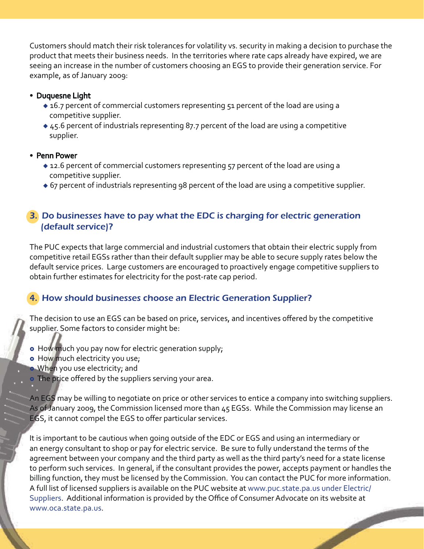Customers should match their risk tolerances for volatility vs. security in making a decision to purchase the product that meets their business needs. In the territories where rate caps already have expired, we are seeing an increase in the number of customers choosing an EGS to provide their generation service. For example, as of January 2009:

- Duquesne Light
	- ◆ 16.7 percent of commercial customers representing 51 percent of the load are using a competitive supplier.
	- $\triangleq$  45.6 percent of industrials representing 87.7 percent of the load are using a competitive supplier.
- Penn Power
	- 12.6 percent of commercial customers representing 57 percent of the load are using a competitive supplier.
	- ◆ 67 percent of industrials representing 98 percent of the load are using a competitive supplier.

#### 3. Do businesses have to pay what the EDC is charging for electric generation (default service)?

The PUC expects that large commercial and industrial customers that obtain their electric supply from competitive retail EGSs rather than their default supplier may be able to secure supply rates below the default service prices. Large customers are encouraged to proactively engage competitive suppliers to obtain further estimates for electricity for the post-rate cap period.

#### 4. How should businesses choose an Electric Generation Supplier?

The decision to use an EGS can be based on price, services, and incentives offered by the competitive supplier. Some factors to consider might be:

- How much you pay now for electric generation supply;
- . How much electricity you use;
- When you use electricity; and
- The price offered by the suppliers serving your area.

An EGS may be willing to negotiate on price or other services to entice a company into switching suppliers. As of January 2009, the Commission licensed more than 45 EGSs. While the Commission may license an EGS, it cannot compel the EGS to offer particular services.

It is important to be cautious when going outside of the EDC or EGS and using an intermediary or an energy consultant to shop or pay for electric service. Be sure to fully understand the terms of the agreement between your company and the third party as well as the third party's need for a state license to perform such services. In general, if the consultant provides the power, accepts payment or handles the billing function, they must be licensed by the Commission. You can contact the PUC for more information. A full list of licensed suppliers is available on the PUC website at www.puc.state.pa.us under Electric/ Suppliers. Additional information is provided by the Office of Consumer Advocate on its website at www.oca.state.pa.us.